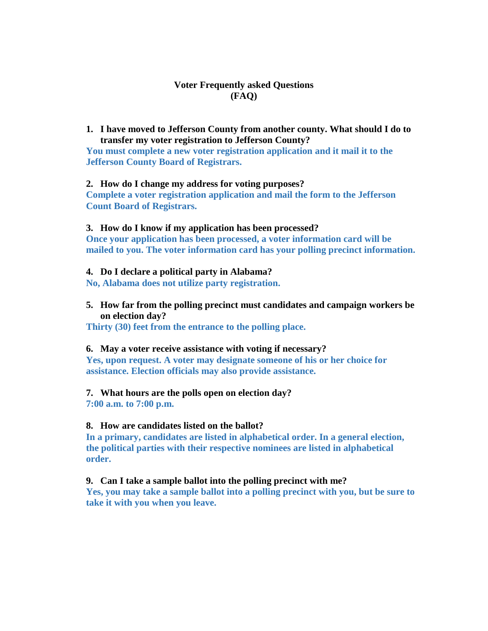# **Voter Frequently asked Questions (FAQ)**

**1. I have moved to Jefferson County from another county. What should I do to transfer my voter registration to Jefferson County?**

**You must complete a new voter registration application and it mail it to the Jefferson County Board of Registrars.** 

### **2. How do I change my address for voting purposes?**

**Complete a voter registration application and mail the form to the Jefferson Count Board of Registrars.** 

### **3. How do I know if my application has been processed?**

**Once your application has been processed, a voter information card will be mailed to you. The voter information card has your polling precinct information.**

### **4. Do I declare a political party in Alabama?**

**No, Alabama does not utilize party registration.**

**5. How far from the polling precinct must candidates and campaign workers be on election day?**

**Thirty (30) feet from the entrance to the polling place.**

# **6. May a voter receive assistance with voting if necessary?**

**Yes, upon request. A voter may designate someone of his or her choice for assistance. Election officials may also provide assistance.**

# **7. What hours are the polls open on election day?**

**7:00 a.m. to 7:00 p.m.**

# **8. How are candidates listed on the ballot?**

**In a primary, candidates are listed in alphabetical order. In a general election, the political parties with their respective nominees are listed in alphabetical order.**

# **9. Can I take a sample ballot into the polling precinct with me?**

**Yes, you may take a sample ballot into a polling precinct with you, but be sure to take it with you when you leave.**